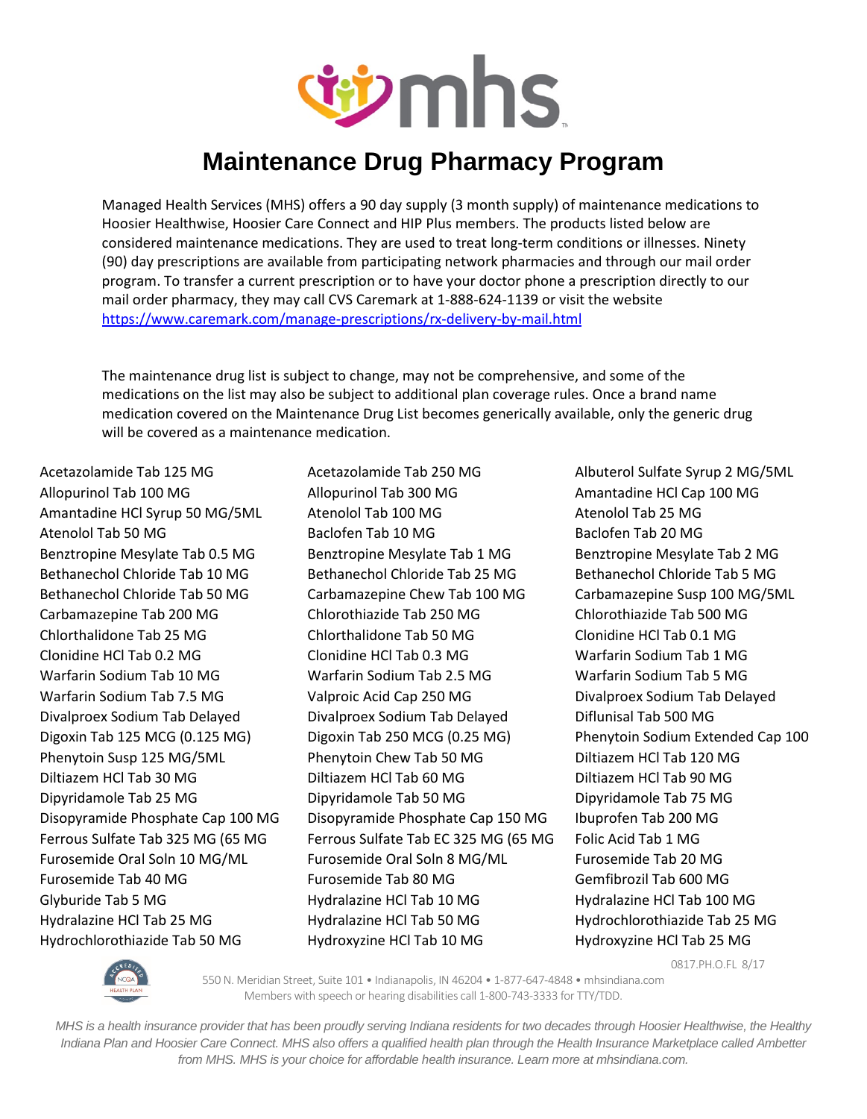

Managed Health Services (MHS) offers a 90 day supply (3 month supply) of maintenance medications to Hoosier Healthwise, Hoosier Care Connect and HIP Plus members. The products listed below are considered maintenance medications. They are used to treat long-term conditions or illnesses. Ninety (90) day prescriptions are available from participating network pharmacies and through our mail order program. To transfer a current prescription or to have your doctor phone a prescription directly to our mail order pharmacy, they may call CVS Caremark at 1-888-624-1139 or visit the website <https://www.caremark.com/manage-prescriptions/rx-delivery-by-mail.html>

The maintenance drug list is subject to change, may not be comprehensive, and some of the medications on the list may also be subject to additional plan coverage rules. Once a brand name medication covered on the Maintenance Drug List becomes generically available, only the generic drug will be covered as a maintenance medication.

Acetazolamide Tab 125 MG Acetazolamide Tab 250 MG Albuterol Sulfate Syrup 2 MG/5ML Allopurinol Tab 100 MG Allopurinol Tab 300 MG Amantadine HCl Cap 100 MG Amantadine HCl Syrup 50 MG/5ML Atenolol Tab 100 MG Atenolol Tab 25 MG Atenolol Tab 50 MG Baclofen Tab 10 MG Baclofen Tab 20 MG Benztropine Mesylate Tab 0.5 MG Benztropine Mesylate Tab 1 MG Benztropine Mesylate Tab 2 MG Bethanechol Chloride Tab 10 MG Bethanechol Chloride Tab 25 MG Bethanechol Chloride Tab 5 MG Bethanechol Chloride Tab 50 MG Carbamazepine Chew Tab 100 MG Carbamazepine Susp 100 MG/5ML Carbamazepine Tab 200 MG Chlorothiazide Tab 250 MG Chlorothiazide Tab 500 MG Chlorthalidone Tab 25 MG Chlorthalidone Tab 50 MG Clonidine HCl Tab 0.1 MG Clonidine HCl Tab 0.2 MG Clonidine HCl Tab 0.3 MG Warfarin Sodium Tab 1 MG Warfarin Sodium Tab 10 MG Warfarin Sodium Tab 2.5 MG Warfarin Sodium Tab 5 MG Warfarin Sodium Tab 7.5 MG Valproic Acid Cap 250 MG Divalproex Sodium Tab Delayed Divalproex Sodium Tab Delayed Divalproex Sodium Tab Delayed Diflunisal Tab 500 MG Digoxin Tab 125 MCG (0.125 MG) Digoxin Tab 250 MCG (0.25 MG) Phenytoin Sodium Extended Cap 100 Phenytoin Susp 125 MG/5ML Phenytoin Chew Tab 50 MG Diltiazem HCl Tab 120 MG Diltiazem HCl Tab 30 MG Diltiazem HCl Tab 60 MG Diltiazem HCl Tab 90 MG Dipyridamole Tab 25 MG Dipyridamole Tab 50 MG Dipyridamole Tab 75 MG Disopyramide Phosphate Cap 100 MG Disopyramide Phosphate Cap 150 MG Ibuprofen Tab 200 MG Ferrous Sulfate Tab 325 MG (65 MG Ferrous Sulfate Tab EC 325 MG (65 MG Folic Acid Tab 1 MG Furosemide Oral Soln 10 MG/ML Furosemide Oral Soln 8 MG/ML Furosemide Tab 20 MG Furosemide Tab 40 MG Furosemide Tab 80 MG Gemfibrozil Tab 600 MG Glyburide Tab 5 MG Hydralazine HCl Tab 10 MG Hydralazine HCl Tab 100 MG Hydralazine HCl Tab 25 MG Hydralazine HCl Tab 50 MG Hydrochlorothiazide Tab 25 MG

Hydrochlorothiazide Tab 50 MG Hydroxyzine HCl Tab 10 MG Hydroxyzine HCl Tab 25 MG

0817.PH.O.FL 8/17



550 N. Meridian Street, Suite 101 • Indianapolis, IN 46204 • 1-877-647-4848 • mhsindiana.com Members with speech or hearing disabilities call 1-800-743-3333 for TTY/TDD.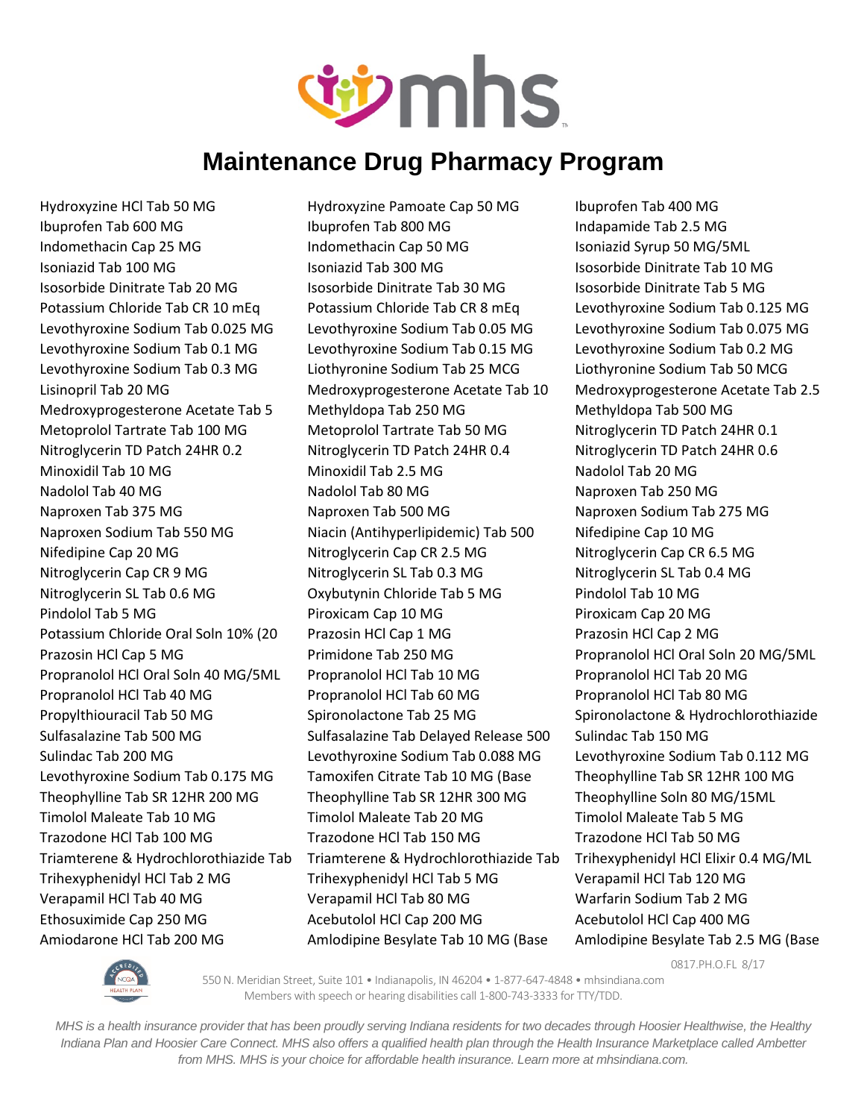

Hydroxyzine HCl Tab 50 MG Hydroxyzine Pamoate Cap 50 MG Ibuprofen Tab 400 MG Ibuprofen Tab 600 MG Ibuprofen Tab 800 MG Indapamide Tab 2.5 MG Indomethacin Cap 25 MG Indomethacin Cap 50 MG Isoniazid Syrup 50 MG/5ML Isoniazid Tab 100 MG Isoniazid Tab 300 MG Isosorbide Dinitrate Tab 10 MG Isosorbide Dinitrate Tab 20 MG Isosorbide Dinitrate Tab 30 MG Isosorbide Dinitrate Tab 5 MG Potassium Chloride Tab CR 10 mEq Potassium Chloride Tab CR 8 mEq Levothyroxine Sodium Tab 0.125 MG Levothyroxine Sodium Tab 0.025 MG Levothyroxine Sodium Tab 0.05 MG Levothyroxine Sodium Tab 0.075 MG Levothyroxine Sodium Tab 0.1 MG Levothyroxine Sodium Tab 0.15 MG Levothyroxine Sodium Tab 0.2 MG Levothyroxine Sodium Tab 0.3 MG Liothyronine Sodium Tab 25 MCG Liothyronine Sodium Tab 50 MCG Lisinopril Tab 20 MG Medroxyprogesterone Acetate Tab 10 Medroxyprogesterone Acetate Tab 2.5 Medroxyprogesterone Acetate Tab 5 Methyldopa Tab 250 MG Methyldopa Tab 500 MG Metoprolol Tartrate Tab 100 MG Metoprolol Tartrate Tab 50 MG Nitroglycerin TD Patch 24HR 0.1 Nitroglycerin TD Patch 24HR 0.2 Nitroglycerin TD Patch 24HR 0.4 Nitroglycerin TD Patch 24HR 0.6 Minoxidil Tab 10 MG **Minoxidil Tab 2.5 MG** Nadolol Tab 20 MG Nadolol Tab 40 MG Nadolol Tab 80 MG Naproxen Tab 250 MG Naproxen Tab 375 MG Naproxen Tab 500 MG Naproxen Sodium Tab 275 MG Naproxen Sodium Tab 550 MG Niacin (Antihyperlipidemic) Tab 500 Nifedipine Cap 10 MG Nifedipine Cap 20 MG **Nitroglycerin Cap CR 2.5 MG** Nitroglycerin Cap CR 6.5 MG Nitroglycerin Cap CR 9 MG Nitroglycerin SL Tab 0.3 MG Nitroglycerin SL Tab 0.4 MG Nitroglycerin SL Tab 0.6 MG Oxybutynin Chloride Tab 5 MG Pindolol Tab 10 MG Pindolol Tab 5 MG Piroxicam Cap 10 MG Piroxicam Cap 20 MG Potassium Chloride Oral Soln 10% (20 Prazosin HCl Cap 1 MG Prazosin HCl Cap 2 MG Prazosin HCl Cap 5 MG Primidone Tab 250 MG Propranolol HCl Oral Soln 20 MG/5ML Propranolol HCl Oral Soln 40 MG/5ML Propranolol HCl Tab 10 MG Propranolol HCl Tab 20 MG Propranolol HCl Tab 40 MG Propranolol HCl Tab 60 MG Propranolol HCl Tab 80 MG Propylthiouracil Tab 50 MG Spironolactone Tab 25 MG Spironolactone & Hydrochlorothiazide Sulfasalazine Tab 500 MG Sulfasalazine Tab Delayed Release 500 Sulindac Tab 150 MG Sulindac Tab 200 MG Levothyroxine Sodium Tab 0.088 MG Levothyroxine Sodium Tab 0.112 MG Levothyroxine Sodium Tab 0.175 MG Tamoxifen Citrate Tab 10 MG (Base Theophylline Tab SR 12HR 100 MG Theophylline Tab SR 12HR 200 MG Theophylline Tab SR 12HR 300 MG Theophylline Soln 80 MG/15ML Timolol Maleate Tab 10 MG Timolol Maleate Tab 20 MG Timolol Maleate Tab 5 MG Trazodone HCl Tab 100 MG Trazodone HCl Tab 150 MG Trazodone HCl Tab 50 MG Triamterene & Hydrochlorothiazide Tab Triamterene & Hydrochlorothiazide Tab Trihexyphenidyl HCl Elixir 0.4 MG/ML Trihexyphenidyl HCl Tab 2 MG Trihexyphenidyl HCl Tab 5 MG Verapamil HCl Tab 120 MG Verapamil HCl Tab 40 MG Verapamil HCl Tab 80 MG Warfarin Sodium Tab 2 MG Ethosuximide Cap 250 MG  $\overline{a}$  Acebutolol HCl Cap 200 MG  $\overline{a}$  Acebutolol HCl Cap 400 MG Amiodarone HCl Tab 200 MG Amlodipine Besylate Tab 10 MG (Base Amlodipine Besylate Tab 2.5 MG (Base

0817.PH.O.FL 8/17



550 N. Meridian Street, Suite 101 • Indianapolis, IN 46204 • 1-877-647-4848 • mhsindiana.com Members with speech or hearing disabilities call 1-800-743-3333 for TTY/TDD.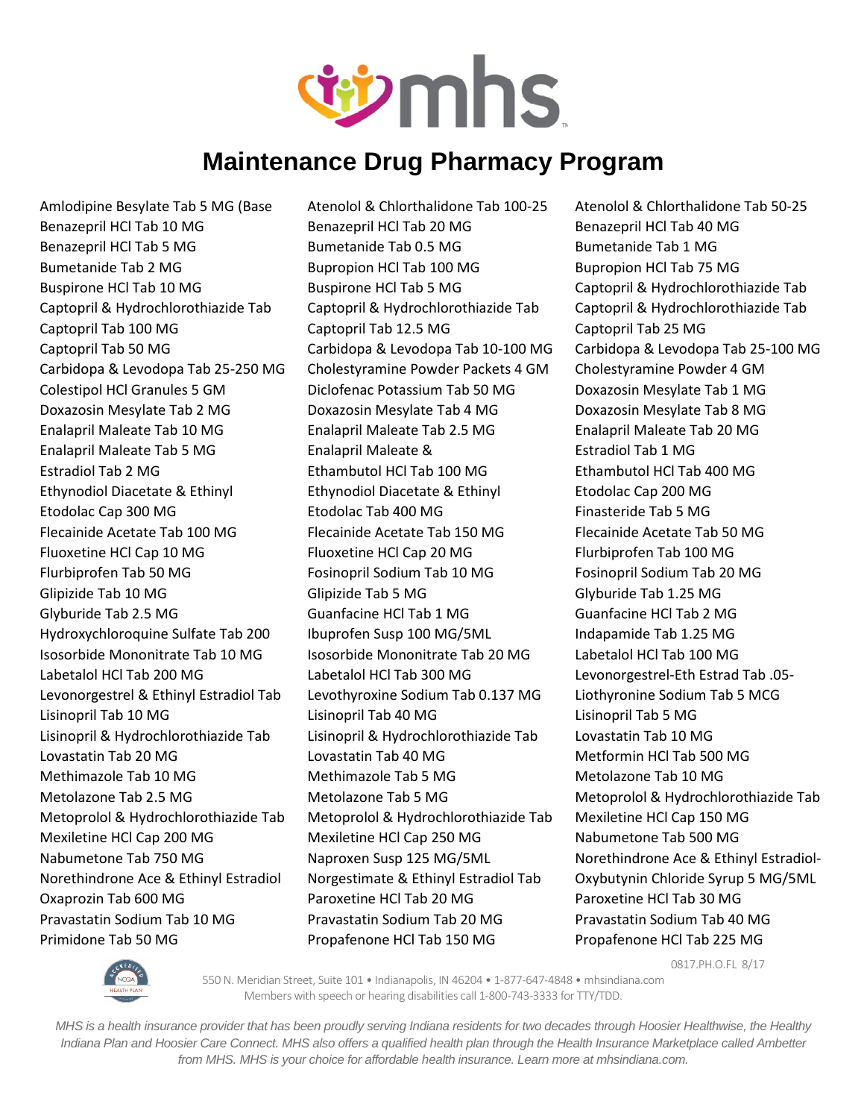

Primidone Tab 50 MG Propafenone HCl Tab 150 MG Propafenone HCl Tab 225 MG

Amlodipine Besylate Tab 5 MG (Base Atenolol & Chlorthalidone Tab 100-25 Atenolol & Chlorthalidone Tab 50-25 Benazepril HCl Tab 10 MG Benazepril HCl Tab 20 MG Benazepril HCl Tab 40 MG Benazepril HCl Tab 5 MG Bumetanide Tab 0.5 MG Bumetanide Tab 1 MG Bumetanide Tab 2 MG Bupropion HCl Tab 100 MG Bupropion HCl Tab 75 MG Buspirone HCl Tab 10 MG Buspirone HCl Tab 5 MG Captopril & Hydrochlorothiazide Tab Captopril & Hydrochlorothiazide Tab Captopril & Hydrochlorothiazide Tab Captopril & Hydrochlorothiazide Tab Captopril Tab 100 MG Captopril Tab 12.5 MG Captopril Tab 25 MG Captopril Tab 50 MG Carbidopa & Levodopa Tab 10-100 MG Carbidopa & Levodopa Tab 25-100 MG Carbidopa & Levodopa Tab 25-250 MG Cholestyramine Powder Packets 4 GM Cholestyramine Powder 4 GM Colestipol HCl Granules 5 GM Diclofenac Potassium Tab 50 MG Doxazosin Mesylate Tab 1 MG Doxazosin Mesylate Tab 2 MG Doxazosin Mesylate Tab 4 MG Doxazosin Mesylate Tab 8 MG Enalapril Maleate Tab 10 MG Enalapril Maleate Tab 2.5 MG Enalapril Maleate Tab 20 MG Enalapril Maleate Tab 5 MG Enalapril Maleate & Estradiol Tab 1 MG Estradiol Tab 2 MG Ethambutol HCl Tab 100 MG Ethambutol HCl Tab 400 MG Ethynodiol Diacetate & Ethinyl Ethynodiol Diacetate & Ethinyl Etodolac Cap 200 MG Etodolac Cap 300 MG **Etodolac Tab 400 MG** Finasteride Tab 5 MG Flecainide Acetate Tab 100 MG Flecainide Acetate Tab 150 MG Flecainide Acetate Tab 50 MG Fluoxetine HCl Cap 10 MG Fluoxetine HCl Cap 20 MG Flurbiprofen Tab 100 MG Flurbiprofen Tab 50 MG Fosinopril Sodium Tab 10 MG Fosinopril Sodium Tab 20 MG Glipizide Tab 10 MG Glipizide Tab 5 MG Glipizide Tab 1.25 MG Glyburide Tab 2.5 MG Guanfacine HCl Tab 1 MG Guanfacine HCl Tab 2 MG Hydroxychloroquine Sulfate Tab 200 Ibuprofen Susp 100 MG/5ML Indapamide Tab 1.25 MG Isosorbide Mononitrate Tab 10 MG Isosorbide Mononitrate Tab 20 MG Labetalol HCl Tab 100 MG Labetalol HCl Tab 200 MG Labetalol HCl Tab 300 MG Levonorgestrel-Eth Estrad Tab .05- Levonorgestrel & Ethinyl Estradiol Tab Levothyroxine Sodium Tab 0.137 MG Liothyronine Sodium Tab 5 MCG Lisinopril Tab 10 MG Lisinopril Tab 40 MG Lisinopril Tab 5 MG Lisinopril & Hydrochlorothiazide Tab Lisinopril & Hydrochlorothiazide Tab Lovastatin Tab 10 MG Lovastatin Tab 20 MG 
Lovastatin Tab 10 MG
Lovastatin Tab 500 MG
Lovastatin Tab 500 MG Methimazole Tab 10 MG **Methimazole Tab 5 MG** Methimazole Tab 10 MG Metolazone Tab 2.5 MG Metolazone Tab 5 MG Metolazone Tab 5 MG Metoprolol & Hydrochlorothiazide Tab Metoprolol & Hydrochlorothiazide Tab Metoprolol & Hydrochlorothiazide Tab Mexiletine HCl Cap 150 MG Mexiletine HCl Cap 200 MG Mexiletine HCl Cap 250 MG Nabumetone Tab 500 MG Nabumetone Tab 750 MG Naproxen Susp 125 MG/5ML Norethindrone Ace & Ethinyl Estradiol-Norethindrone Ace & Ethinyl Estradiol Norgestimate & Ethinyl Estradiol Tab Oxybutynin Chloride Syrup 5 MG/5ML Oxaprozin Tab 600 MG Paroxetine HCl Tab 20 MG Paroxetine HCl Tab 30 MG Pravastatin Sodium Tab 10 MG Pravastatin Sodium Tab 20 MG Pravastatin Sodium Tab 40 MG

0817.PH.O.FL 8/17



550 N. Meridian Street, Suite 101 • Indianapolis, IN 46204 • 1-877-647-4848 • mhsindiana.com Members with speech or hearing disabilities call 1-800-743-3333 for TTY/TDD.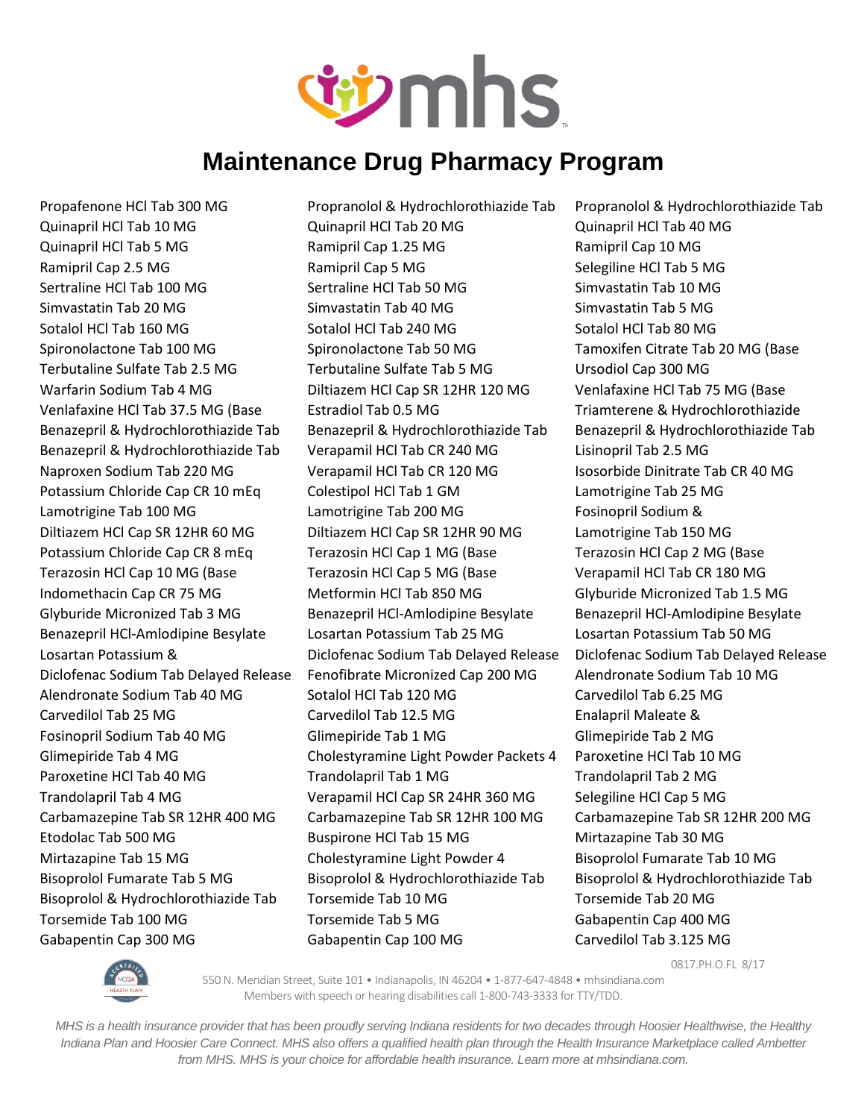

Gabapentin Cap 300 MG Gabapentin Cap 100 MG Carvedilol Tab 3.125 MG

Propafenone HCl Tab 300 MG Propranolol & Hydrochlorothiazide Tab Propranolol & Hydrochlorothiazide Tab Quinapril HCl Tab 10 MG Quinapril HCl Tab 20 MG Quinapril HCl Tab 40 MG Quinapril HCl Tab 5 MG Ramipril Cap 1.25 MG Ramipril Cap 10 MG Ramipril Cap 2.5 MG **Ramipril Cap 5 MG** Selegiline HCl Tab 5 MG Sertraline HCl Tab 100 MG Sertraline HCl Tab 50 MG Simvastatin Tab 10 MG Simvastatin Tab 20 MG Simvastatin Tab 40 MG Simvastatin Tab 5 MG Sotalol HCl Tab 160 MG Sotalol HCl Tab 240 MG Sotalol HCl Tab 80 MG Spironolactone Tab 100 MG Spironolactone Tab 50 MG Tamoxifen Citrate Tab 20 MG (Base Terbutaline Sulfate Tab 2.5 MG Terbutaline Sulfate Tab 5 MG Ursodiol Cap 300 MG Warfarin Sodium Tab 4 MG Diltiazem HCl Cap SR 12HR 120 MG Venlafaxine HCl Tab 75 MG (Base Venlafaxine HCl Tab 37.5 MG (Base Estradiol Tab 0.5 MG Triamterene & Hydrochlorothiazide Benazepril & Hydrochlorothiazide Tab Benazepril & Hydrochlorothiazide Tab Benazepril & Hydrochlorothiazide Tab Benazepril & Hydrochlorothiazide Tab Verapamil HCl Tab CR 240 MG Lisinopril Tab 2.5 MG Naproxen Sodium Tab 220 MG Verapamil HCl Tab CR 120 MG Isosorbide Dinitrate Tab CR 40 MG Potassium Chloride Cap CR 10 mEq Colestipol HCl Tab 1 GM Lamotrigine Tab 25 MG Lamotrigine Tab 100 MG Lamotrigine Tab 200 MG Fosinopril Sodium & Diltiazem HCl Cap SR 12HR 60 MG Diltiazem HCl Cap SR 12HR 90 MG Lamotrigine Tab 150 MG Potassium Chloride Cap CR 8 mEq Terazosin HCl Cap 1 MG (Base Terazosin HCl Cap 2 MG (Base Terazosin HCl Cap 10 MG (Base Terazosin HCl Cap 5 MG (Base Verapamil HCl Tab CR 180 MG Indomethacin Cap CR 75 MG Metformin HCl Tab 850 MG Glyburide Micronized Tab 1.5 MG Glyburide Micronized Tab 3 MG Benazepril HCl-Amlodipine Besylate Benazepril HCl-Amlodipine Besylate Benazepril HCl-Amlodipine Besylate Losartan Potassium Tab 25 MG Losartan Potassium Tab 50 MG Losartan Potassium & Diclofenac Sodium Tab Delayed Release Diclofenac Sodium Tab Delayed Release Diclofenac Sodium Tab Delayed Release Fenofibrate Micronized Cap 200 MG Alendronate Sodium Tab 10 MG Alendronate Sodium Tab 40 MG Sotalol HCl Tab 120 MG Carvedilol Tab 6.25 MG Carvedilol Tab 25 MG Carvedilol Tab 12.5 MG Enalapril Maleate & Fosinopril Sodium Tab 40 MG Glimepiride Tab 1 MG Glimepiride Tab 2 MG Glimepiride Tab 4 MG Cholestyramine Light Powder Packets 4 Paroxetine HCl Tab 10 MG Paroxetine HCl Tab 40 MG Trandolapril Tab 1 MG Trandolapril Tab 2 MG Trandolapril Tab 4 MG Verapamil HCl Cap SR 24HR 360 MG Selegiline HCl Cap 5 MG Carbamazepine Tab SR 12HR 400 MG Carbamazepine Tab SR 12HR 100 MG Carbamazepine Tab SR 12HR 200 MG Etodolac Tab 500 MG Buspirone HCl Tab 15 MG Mirtazapine Tab 30 MG Mirtazapine Tab 15 MG Cholestyramine Light Powder 4 Bisoprolol Fumarate Tab 10 MG Bisoprolol Fumarate Tab 5 MG Bisoprolol & Hydrochlorothiazide Tab Bisoprolol & Hydrochlorothiazide Tab Bisoprolol & Hydrochlorothiazide Tab Torsemide Tab 10 MG Torsemide Tab 20 MG Torsemide Tab 100 MG Torsemide Tab 5 MG Gabapentin Cap 400 MG



0817.PH.O.FL 8/17

550 N. Meridian Street, Suite 101 • Indianapolis, IN 46204 • 1-877-647-4848 • mhsindiana.com Members with speech or hearing disabilities call 1-800-743-3333 for TTY/TDD.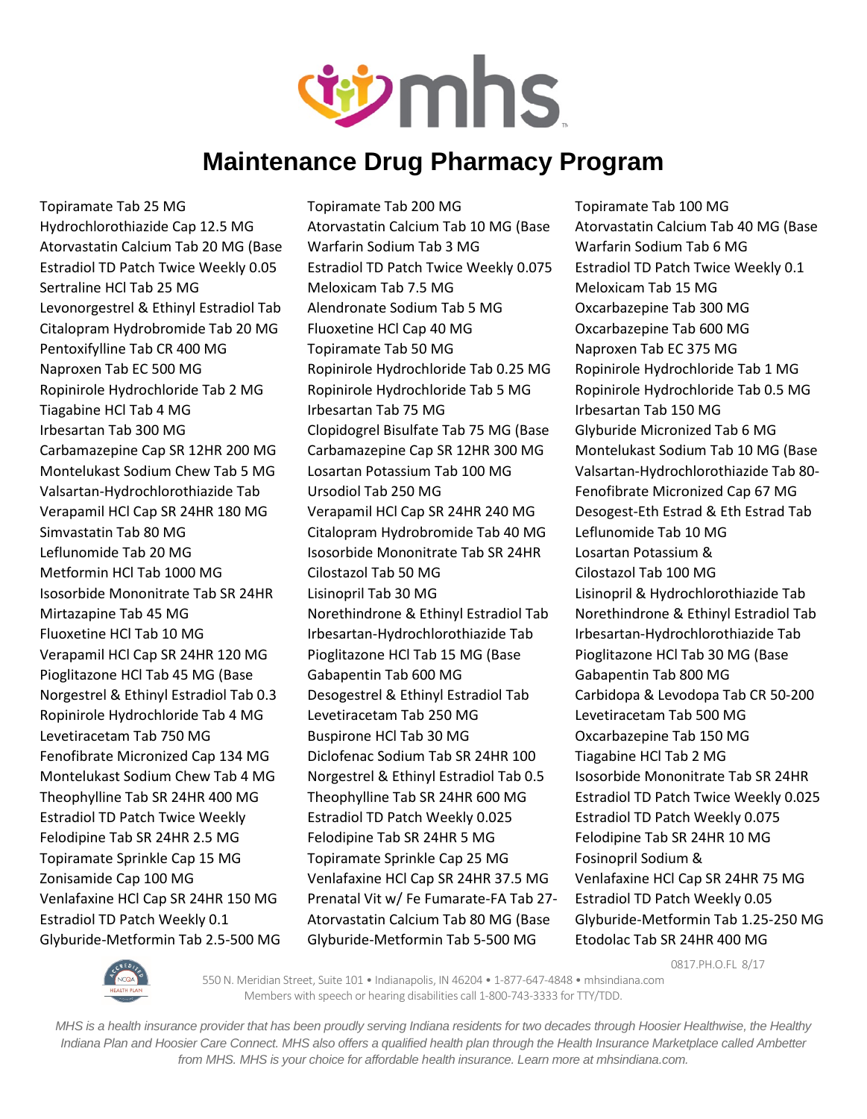

Topiramate Tab 25 MG Topiramate Tab 200 MG Topiramate Tab 100 MG Hydrochlorothiazide Cap 12.5 MG Atorvastatin Calcium Tab 10 MG (Base Atorvastatin Calcium Tab 40 MG (Base Atorvastatin Calcium Tab 20 MG (Base Warfarin Sodium Tab 3 MG Warfarin Sodium Tab 6 MG Estradiol TD Patch Twice Weekly 0.05 Estradiol TD Patch Twice Weekly 0.075 Estradiol TD Patch Twice Weekly 0.1 Sertraline HCl Tab 25 MG Meloxicam Tab 7.5 MG Meloxicam Tab 15 MG Levonorgestrel & Ethinyl Estradiol Tab Alendronate Sodium Tab 5 MG Oxcarbazepine Tab 300 MG Citalopram Hydrobromide Tab 20 MG Fluoxetine HCl Cap 40 MG Care Control Oxcarbazepine Tab 600 MG Pentoxifylline Tab CR 400 MG Topiramate Tab 50 MG Naproxen Tab EC 375 MG Naproxen Tab EC 500 MG Ropinirole Hydrochloride Tab 0.25 MG Ropinirole Hydrochloride Tab 1 MG Ropinirole Hydrochloride Tab 2 MG Ropinirole Hydrochloride Tab 5 MG Ropinirole Hydrochloride Tab 0.5 MG Tiagabine HCl Tab 4 MG Irbesartan Tab 75 MG Irbesartan Tab 150 MG Irbesartan Tab 300 MG Clopidogrel Bisulfate Tab 75 MG (Base Glyburide Micronized Tab 6 MG Carbamazepine Cap SR 12HR 200 MG Carbamazepine Cap SR 12HR 300 MG Montelukast Sodium Tab 10 MG (Base Montelukast Sodium Chew Tab 5 MG Losartan Potassium Tab 100 MG Valsartan-Hydrochlorothiazide Tab 80- Valsartan-Hydrochlorothiazide Tab Ursodiol Tab 250 MG Fenofibrate Micronized Cap 67 MG Verapamil HCl Cap SR 24HR 180 MG Verapamil HCl Cap SR 24HR 240 MG Desogest-Eth Estrad & Eth Estrad Tab Simvastatin Tab 80 MG Citalopram Hydrobromide Tab 40 MG Leflunomide Tab 10 MG Leflunomide Tab 20 MG **Isosorbide Mononitrate Tab SR 24HR** Losartan Potassium & Metformin HCl Tab 1000 MG Cilostazol Tab 50 MG Cilostazol Tab 100 MG Isosorbide Mononitrate Tab SR 24HR Lisinopril Tab 30 MG Lisinopril & Hydrochlorothiazide Tab Mirtazapine Tab 45 MG Norethindrone & Ethinyl Estradiol Tab Norethindrone & Ethinyl Estradiol Tab Fluoxetine HCl Tab 10 MG Irbesartan-Hydrochlorothiazide Tab Irbesartan-Hydrochlorothiazide Tab Verapamil HCl Cap SR 24HR 120 MG Pioglitazone HCl Tab 15 MG (Base Pioglitazone HCl Tab 30 MG (Base Pioglitazone HCl Tab 45 MG (Base Gabapentin Tab 600 MG Gabapentin Tab 800 MG Norgestrel & Ethinyl Estradiol Tab 0.3 Desogestrel & Ethinyl Estradiol Tab Carbidopa & Levodopa Tab CR 50-200 Ropinirole Hydrochloride Tab 4 MG Levetiracetam Tab 250 MG Levetiracetam Tab 500 MG Levetiracetam Tab 750 MG Buspirone HCl Tab 30 MG Oxcarbazepine Tab 150 MG Fenofibrate Micronized Cap 134 MG Diclofenac Sodium Tab SR 24HR 100 Tiagabine HCl Tab 2 MG Montelukast Sodium Chew Tab 4 MG Norgestrel & Ethinyl Estradiol Tab 0.5 Isosorbide Mononitrate Tab SR 24HR Theophylline Tab SR 24HR 400 MG Theophylline Tab SR 24HR 600 MG Estradiol TD Patch Twice Weekly 0.025 Estradiol TD Patch Twice Weekly Estradiol TD Patch Weekly 0.025 Estradiol TD Patch Weekly 0.075 Felodipine Tab SR 24HR 2.5 MG Felodipine Tab SR 24HR 5 MG Felodipine Tab SR 24HR 10 MG Topiramate Sprinkle Cap 15 MG Topiramate Sprinkle Cap 25 MG Fosinopril Sodium & Zonisamide Cap 100 MG Venlafaxine HCl Cap SR 24HR 37.5 MG Venlafaxine HCl Cap SR 24HR 75 MG Venlafaxine HCl Cap SR 24HR 150 MG Prenatal Vit w/ Fe Fumarate-FA Tab 27- Estradiol TD Patch Weekly 0.05 Estradiol TD Patch Weekly 0.1 Atorvastatin Calcium Tab 80 MG (Base Glyburide-Metformin Tab 1.25-250 MG Glyburide-Metformin Tab 2.5-500 MG Glyburide-Metformin Tab 5-500 MG Etodolac Tab SR 24HR 400 MG

0817.PH.O.FL 8/17



550 N. Meridian Street, Suite 101 • Indianapolis, IN 46204 • 1-877-647-4848 • mhsindiana.com Members with speech or hearing disabilities call 1-800-743-3333 for TTY/TDD.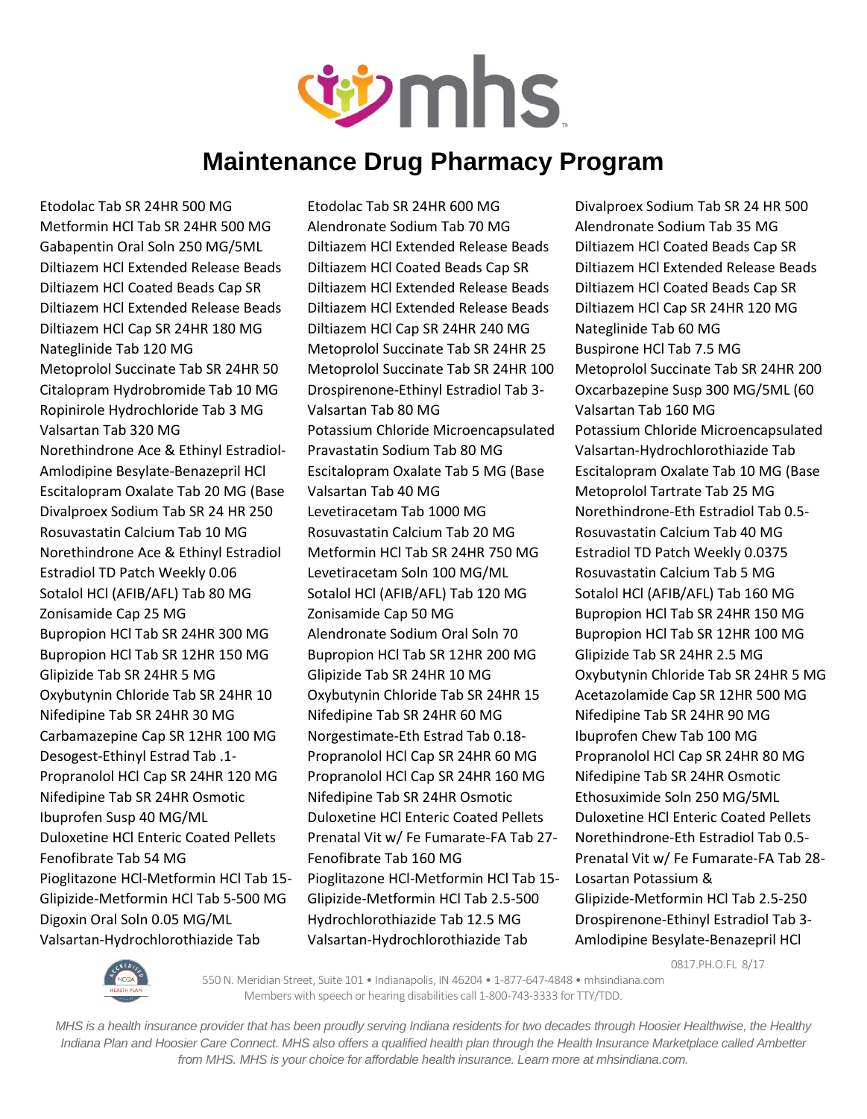

Valsartan-Hydrochlorothiazide Tab Valsartan-Hydrochlorothiazide Tab Amlodipine Besylate-Benazepril HCl

Etodolac Tab SR 24HR 500 MG Etodolac Tab SR 24HR 600 MG Divalproex Sodium Tab SR 24 HR 500 Metformin HCl Tab SR 24HR 500 MG Alendronate Sodium Tab 70 MG Alendronate Sodium Tab 35 MG Gabapentin Oral Soln 250 MG/5ML Diltiazem HCl Extended Release Beads Diltiazem HCl Coated Beads Cap SR Diltiazem HCl Extended Release Beads Diltiazem HCl Coated Beads Cap SR Diltiazem HCl Extended Release Beads Diltiazem HCl Coated Beads Cap SR Diltiazem HCl Extended Release Beads Diltiazem HCl Coated Beads Cap SR Diltiazem HCl Extended Release Beads Diltiazem HCl Extended Release Beads Diltiazem HCl Cap SR 24HR 120 MG Diltiazem HCl Cap SR 24HR 180 MG Diltiazem HCl Cap SR 24HR 240 MG Nateglinide Tab 60 MG Nateglinide Tab 120 MG Metoprolol Succinate Tab SR 24HR 25 Buspirone HCl Tab 7.5 MG Metoprolol Succinate Tab SR 24HR 50 Metoprolol Succinate Tab SR 24HR 100 Metoprolol Succinate Tab SR 24HR 200 Citalopram Hydrobromide Tab 10 MG Drospirenone-Ethinyl Estradiol Tab 3- Oxcarbazepine Susp 300 MG/5ML (60 Ropinirole Hydrochloride Tab 3 MG Valsartan Tab 80 MG Valsartan Tab 160 MG Valsartan Tab 320 MG Potassium Chloride Microencapsulated Potassium Chloride Microencapsulated Norethindrone Ace & Ethinyl Estradiol- Pravastatin Sodium Tab 80 MG Valsartan-Hydrochlorothiazide Tab Amlodipine Besylate-Benazepril HCl Escitalopram Oxalate Tab 5 MG (Base Escitalopram Oxalate Tab 10 MG (Base Escitalopram Oxalate Tab 20 MG (Base Valsartan Tab 40 MG Metoprolol Tartrate Tab 25 MG Divalproex Sodium Tab SR 24 HR 250 Levetiracetam Tab 1000 MG Norethindrone-Eth Estradiol Tab 0.5-Rosuvastatin Calcium Tab 10 MG Rosuvastatin Calcium Tab 20 MG Rosuvastatin Calcium Tab 40 MG Norethindrone Ace & Ethinyl Estradiol Metformin HCl Tab SR 24HR 750 MG Estradiol TD Patch Weekly 0.0375 Estradiol TD Patch Weekly 0.06 Levetiracetam Soln 100 MG/ML Rosuvastatin Calcium Tab 5 MG Sotalol HCl (AFIB/AFL) Tab 80 MG Sotalol HCl (AFIB/AFL) Tab 120 MG Sotalol HCl (AFIB/AFL) Tab 160 MG Zonisamide Cap 25 MG Zonisamide Cap 50 MG Bupropion HCl Tab SR 24HR 150 MG Bupropion HCl Tab SR 24HR 300 MG Alendronate Sodium Oral Soln 70 Bupropion HCl Tab SR 12HR 100 MG Bupropion HCl Tab SR 12HR 150 MG Bupropion HCl Tab SR 12HR 200 MG Glipizide Tab SR 24HR 2.5 MG Glipizide Tab SR 24HR 5 MG Glipizide Tab SR 24HR 10 MG Oxybutynin Chloride Tab SR 24HR 5 MG Oxybutynin Chloride Tab SR 24HR 10 Oxybutynin Chloride Tab SR 24HR 15 Acetazolamide Cap SR 12HR 500 MG Nifedipine Tab SR 24HR 30 MG Nifedipine Tab SR 24HR 60 MG Nifedipine Tab SR 24HR 90 MG Carbamazepine Cap SR 12HR 100 MG Norgestimate-Eth Estrad Tab 0.18- Ibuprofen Chew Tab 100 MG Desogest-Ethinyl Estrad Tab .1- Propranolol HCl Cap SR 24HR 60 MG Propranolol HCl Cap SR 24HR 80 MG Propranolol HCl Cap SR 24HR 120 MG Propranolol HCl Cap SR 24HR 160 MG Nifedipine Tab SR 24HR Osmotic Nifedipine Tab SR 24HR Osmotic Nifedipine Tab SR 24HR Osmotic Ethosuximide Soln 250 MG/5ML Ibuprofen Susp 40 MG/ML Duloxetine HCl Enteric Coated Pellets Duloxetine HCl Enteric Coated Pellets Duloxetine HCl Enteric Coated Pellets Prenatal Vit w/ Fe Fumarate-FA Tab 27- Norethindrone-Eth Estradiol Tab 0.5- Fenofibrate Tab 54 MG Fenofibrate Tab 160 MG Fenoratal Vit w/ Fe Fumarate-FA Tab 28-Pioglitazone HCl-Metformin HCl Tab 15- Pioglitazone HCl-Metformin HCl Tab 15- Losartan Potassium & Glipizide-Metformin HCl Tab 5-500 MG Glipizide-Metformin HCl Tab 2.5-500 Glipizide-Metformin HCl Tab 2.5-250 Digoxin Oral Soln 0.05 MG/ML Hydrochlorothiazide Tab 12.5 MG Drospirenone-Ethinyl Estradiol Tab 3-

0817.PH.O.FL 8/17



550 N. Meridian Street, Suite 101 • Indianapolis, IN 46204 • 1-877-647-4848 • mhsindiana.com Members with speech or hearing disabilities call 1-800-743-3333 for TTY/TDD.